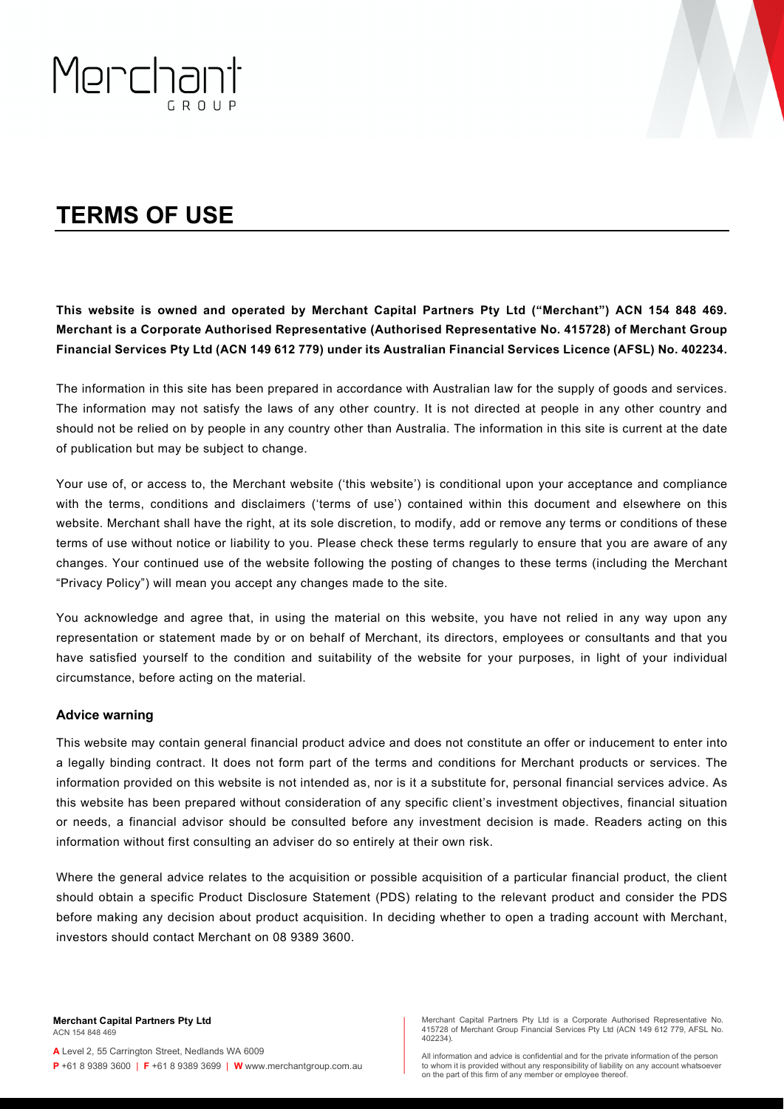

# **TERMS OF USE**

**This website is owned and operated by Merchant Capital Partners Pty Ltd ("Merchant") ACN 154 848 469. Merchant is a Corporate Authorised Representative (Authorised Representative No. 415728) of Merchant Group Financial Services Pty Ltd (ACN 149 612 779) under its Australian Financial Services Licence (AFSL) No. 402234.**

The information in this site has been prepared in accordance with Australian law for the supply of goods and services. The information may not satisfy the laws of any other country. It is not directed at people in any other country and should not be relied on by people in any country other than Australia. The information in this site is current at the date of publication but may be subject to change.

Your use of, or access to, the Merchant website ('this website') is conditional upon your acceptance and compliance with the terms, conditions and disclaimers ('terms of use') contained within this document and elsewhere on this website. Merchant shall have the right, at its sole discretion, to modify, add or remove any terms or conditions of these terms of use without notice or liability to you. Please check these terms regularly to ensure that you are aware of any changes. Your continued use of the website following the posting of changes to these terms (including the Merchant "Privacy Policy") will mean you accept any changes made to the site.

You acknowledge and agree that, in using the material on this website, you have not relied in any way upon any representation or statement made by or on behalf of Merchant, its directors, employees or consultants and that you have satisfied yourself to the condition and suitability of the website for your purposes, in light of your individual circumstance, before acting on the material.

#### **Advice warning**

This website may contain general financial product advice and does not constitute an offer or inducement to enter into a legally binding contract. It does not form part of the terms and conditions for Merchant products or services. The information provided on this website is not intended as, nor is it a substitute for, personal financial services advice. As this website has been prepared without consideration of any specific client's investment objectives, financial situation or needs, a financial advisor should be consulted before any investment decision is made. Readers acting on this information without first consulting an adviser do so entirely at their own risk.

Where the general advice relates to the acquisition or possible acquisition of a particular financial product, the client should obtain a specific Product Disclosure Statement (PDS) relating to the relevant product and consider the PDS before making any decision about product acquisition. In deciding whether to open a trading account with Merchant, investors should contact Merchant on 08 9389 3600.

erchant Capital Partners Pty Ltd is a Corporate Authorised Representative No. 415728 of Merchant Group Financial Services Pty Ltd (ACN 149 612 779, AFSL No. 402234).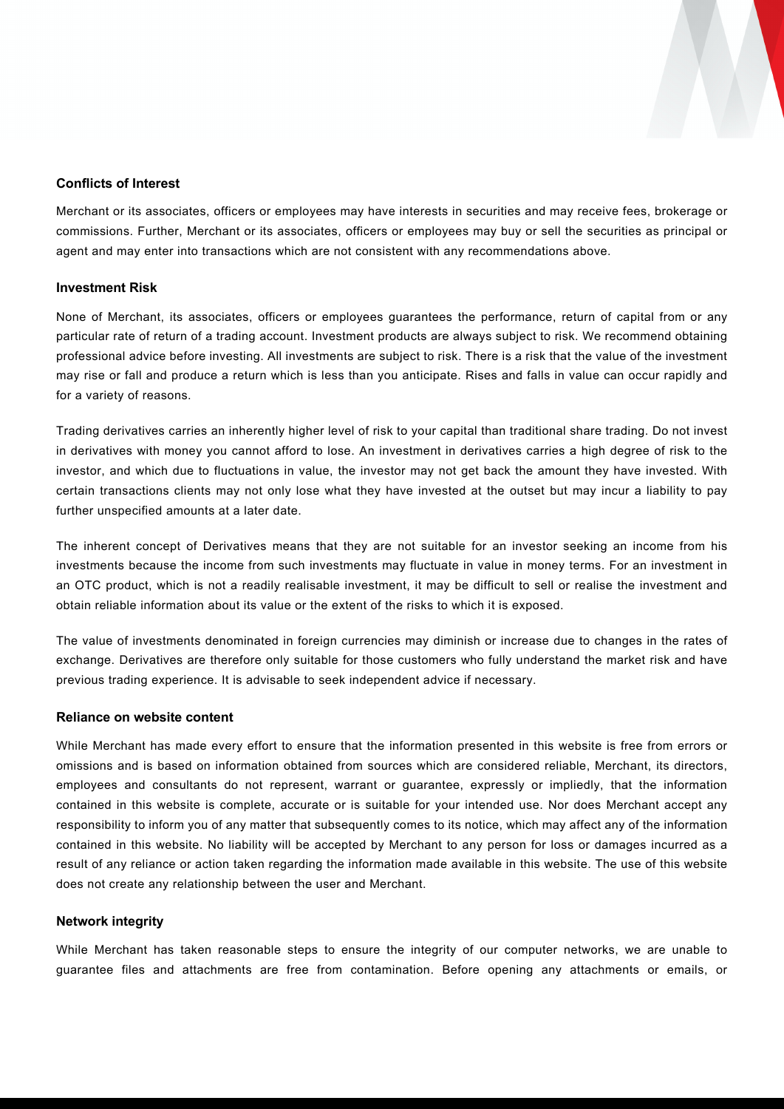

### **Conflicts of Interest**

Merchant or its associates, officers or employees may have interests in securities and may receive fees, brokerage or commissions. Further, Merchant or its associates, officers or employees may buy or sell the securities as principal or agent and may enter into transactions which are not consistent with any recommendations above.

#### **Investment Risk**

None of Merchant, its associates, officers or employees guarantees the performance, return of capital from or any particular rate of return of a trading account. Investment products are always subject to risk. We recommend obtaining professional advice before investing. All investments are subject to risk. There is a risk that the value of the investment may rise or fall and produce a return which is less than you anticipate. Rises and falls in value can occur rapidly and for a variety of reasons.

Trading derivatives carries an inherently higher level of risk to your capital than traditional share trading. Do not invest in derivatives with money you cannot afford to lose. An investment in derivatives carries a high degree of risk to the investor, and which due to fluctuations in value, the investor may not get back the amount they have invested. With certain transactions clients may not only lose what they have invested at the outset but may incur a liability to pay further unspecified amounts at a later date.

The inherent concept of Derivatives means that they are not suitable for an investor seeking an income from his investments because the income from such investments may fluctuate in value in money terms. For an investment in an OTC product, which is not a readily realisable investment, it may be difficult to sell or realise the investment and obtain reliable information about its value or the extent of the risks to which it is exposed.

The value of investments denominated in foreign currencies may diminish or increase due to changes in the rates of exchange. Derivatives are therefore only suitable for those customers who fully understand the market risk and have previous trading experience. It is advisable to seek independent advice if necessary.

#### **Reliance on website content**

While Merchant has made every effort to ensure that the information presented in this website is free from errors or omissions and is based on information obtained from sources which are considered reliable, Merchant, its directors, employees and consultants do not represent, warrant or guarantee, expressly or impliedly, that the information contained in this website is complete, accurate or is suitable for your intended use. Nor does Merchant accept any responsibility to inform you of any matter that subsequently comes to its notice, which may affect any of the information contained in this website. No liability will be accepted by Merchant to any person for loss or damages incurred as a result of any reliance or action taken regarding the information made available in this website. The use of this website does not create any relationship between the user and Merchant.

#### **Network integrity**

While Merchant has taken reasonable steps to ensure the integrity of our computer networks, we are unable to guarantee files and attachments are free from contamination. Before opening any attachments or emails, or